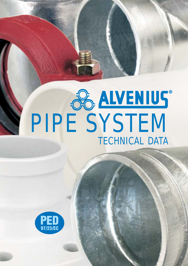# **PIPE SYSTEM** TECHNICAL DATA

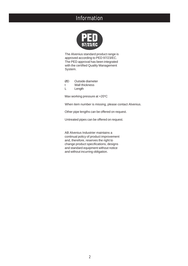### Information



The Alvenius standard product range is approved according to PED 97/23/EC. The PED approval has been integrated with the certified Quality Management System.

ØD Outside diameter

t Wall thickness

L Length

Max working pressure at  $+20^{\circ}$ C

When item number is missing, please contact Alvenius.

Other pipe lengths can be offered on request.

Untreated pipes can be offered on request.

AB Alvenius Industrier maintains a continual policy of product improvement and, therefore, reserves the right to change product specifications, designs and standard equipment without notice and without incurring obligation.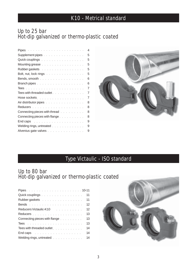## K10 - Metrical standard

#### Up to 25 bar Hot-dip galvanized or thermo-plastic coated

|                                                                                                                                                                                                                                | $\overline{4}$ |
|--------------------------------------------------------------------------------------------------------------------------------------------------------------------------------------------------------------------------------|----------------|
| Supplement pipes                                                                                                                                                                                                               | 5              |
| Quick couplings entertainment and a series of the control of                                                                                                                                                                   | 5              |
| Mounting grease                                                                                                                                                                                                                | 5              |
| Rubber gaskets                                                                                                                                                                                                                 | 5              |
| Bolt, nut, lock rings and a substantial contract to the state of the Bolt, and the state of the state of the s                                                                                                                 | 5              |
| Bends, smooth                                                                                                                                                                                                                  | 6              |
|                                                                                                                                                                                                                                | 6              |
|                                                                                                                                                                                                                                | 7              |
| Tees with threaded outlet                                                                                                                                                                                                      | 7              |
| Hose sockets with a substitution of the set of the set of the set of the set of the set of the set of the set of the set of the set of the set of the set of the set of the set of the set of the set of the set of the set of | 7              |
| Air distributor pipes with a subset of the state of the state of the state of the state of the state of the state of                                                                                                           | 8              |
|                                                                                                                                                                                                                                | 8              |
| Connecting pieces with thread                                                                                                                                                                                                  | 8              |
| Connecting pieces with flange [11] Allen Linds and School and Theorem 2014                                                                                                                                                     | 8              |
| End caps research and capacity and capacity and capacity and capacity and capacity and capacity and                                                                                                                            | 9              |
| Welding rings, untreated                                                                                                                                                                                                       | 9              |
| Alvenius gate valves                                                                                                                                                                                                           | 9              |



## Type Victaulic - ISO standard

#### Up to 80 bar Hot-dip galvanized or thermo-plastic coated

| Quick couplings                                                                                                                                                                                                               | 11 |
|-------------------------------------------------------------------------------------------------------------------------------------------------------------------------------------------------------------------------------|----|
| Rubber gaskets                                                                                                                                                                                                                | 11 |
|                                                                                                                                                                                                                               | 12 |
| Reducers Victaulic-K10 Albert Library Albert Library Albert Library Albert Library Albert Library Albert Library                                                                                                              | 12 |
|                                                                                                                                                                                                                               | 13 |
| Connecting pieces with flange                                                                                                                                                                                                 | 13 |
|                                                                                                                                                                                                                               | 13 |
| Tees with threaded outlet                                                                                                                                                                                                     | 14 |
| End caps and capital contract the contract of the contract of the contract of the contract of the contract of the contract of the contract of the contract of the contract of the contract of the contract of the contract of | 14 |
| Welding rings, untreated                                                                                                                                                                                                      | 14 |

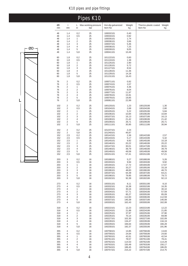

|                                                                    |                                                                |                                                          | Pipes K10                                                |                                                                                                                                |                                                                                    |                                                                                                      |                                                                    |
|--------------------------------------------------------------------|----------------------------------------------------------------|----------------------------------------------------------|----------------------------------------------------------|--------------------------------------------------------------------------------------------------------------------------------|------------------------------------------------------------------------------------|------------------------------------------------------------------------------------------------------|--------------------------------------------------------------------|
| ØD                                                                 | t                                                              | L.                                                       | Max working pressure                                     | Hot-dip galvanized                                                                                                             | Weight                                                                             | Thermo-plastic coated Weight                                                                         | kg                                                                 |
| mm                                                                 | mm                                                             | m                                                        | bar                                                      | Item No                                                                                                                        | kg                                                                                 | Item No                                                                                              |                                                                    |
| 48<br>48<br>48<br>48<br>48<br>48<br>48<br>48                       | 1,4<br>1,4<br>1,4<br>1,4<br>1,4<br>1,4<br>1,4<br>1,4           | 0,2<br>0,5<br>1<br>2<br>3<br>4<br>5<br>5,8               | 25<br>25<br>25<br>25<br>25<br>25<br>25<br>25             | 100032101<br>100034101<br>100035101<br>100036101<br>100037101<br>100038101<br>100039101<br>100041101                           | 0,40<br>0,92<br>1,74<br>3,66<br>5,46<br>7,25<br>9,05<br>10,49                      |                                                                                                      |                                                                    |
| 60<br>60<br>60<br>60<br>60<br>60<br>60<br>60                       | 1,8<br>1,8<br>1,8<br>1,8<br>1,8<br>1,8<br>1,8<br>1,8           | 0,2<br>0,5<br>1<br>2<br>3<br>4<br>5<br>5,8               | 25<br>25<br>25<br>25<br>25<br>25<br>25<br>25             | 101122101<br>101124101<br>101125101<br>101126101<br>101127101<br>101128101<br>101129101<br>101131101                           | 0,60<br>1,38<br>2,90<br>5,72<br>8,54<br>11,36<br>14,18<br>16,43                    |                                                                                                      |                                                                    |
| 76<br>76<br>76<br>76<br>76<br>76<br>76<br>76                       | 2<br>2<br>2<br>2<br>2<br>2<br>2<br>2                           | $_{0,2}$<br>0,5<br>1<br>2<br>3<br>4<br>5<br>5,8          | 25<br>25<br>25<br>25<br>25<br>25<br>25<br>25             | 100071101<br>100074101<br>100075101<br>100076101<br>100077101<br>100078101<br>100079101<br>100081101                           | 0,92<br>2,07<br>4,36<br>8,04<br>11,97<br>15,91<br>19,85<br>22,99                   |                                                                                                      |                                                                    |
| 102                                                                | 2                                                              | $_{0,2}$                                                 | 25                                                       | 100120101                                                                                                                      | 1,23                                                                               | 100120106                                                                                            | 1,30                                                               |
| 102                                                                | 2                                                              | $_{0,5}$                                                 | 25                                                       | 100104101                                                                                                                      | 2,68                                                                               | 100104106                                                                                            | 2,80                                                               |
| 102                                                                | 2                                                              | 1                                                        | 25                                                       | 100105101                                                                                                                      | 5,22                                                                               | 100105106                                                                                            | 5,84                                                               |
| 102                                                                | 2                                                              | 2                                                        | 25                                                       | 100106101                                                                                                                      | 10,84                                                                              | 100106106                                                                                            | 10,84                                                              |
| 102                                                                | 2                                                              | 3                                                        | 25                                                       | 100107101                                                                                                                      | 16,13                                                                              | 100107106                                                                                            | 16,13                                                              |
| 102                                                                | 2                                                              | 4                                                        | 25                                                       | 100108101                                                                                                                      | 21,42                                                                              | 100108106                                                                                            | 21,42                                                              |
| 102                                                                | 2                                                              | 5                                                        | 25                                                       | 100109101                                                                                                                      | 26,71                                                                              | 100109106                                                                                            | 26,71                                                              |
| 102                                                                | 2                                                              | 5,8                                                      | 25                                                       | 100111101                                                                                                                      | 30,95                                                                              | 100111106                                                                                            | 30,94                                                              |
| 152<br>152<br>152<br>152<br>152<br>152<br>152<br>152<br>152<br>152 | 2<br>2<br>2,5<br>2,5<br>2,5<br>2,5<br>2,5<br>2,5<br>2,5<br>2,5 | 0,2<br>5,8<br>0,2<br>0,5<br>1<br>2<br>3<br>4<br>5<br>5,8 | 25<br>25<br>25<br>25<br>25<br>25<br>25<br>25<br>25<br>25 | 101237101<br>101240101<br>100142101<br>100144101<br>100145101<br>100146101<br>100147101<br>100148101<br>100149101<br>100151101 | 2,24<br>46,87<br>2,36<br>5,17<br>9,92<br>20,22<br>30,01<br>39,79<br>49,58<br>57,41 | 100142106<br>100144106<br>100145106<br>100146106<br>100147106<br>100148106<br>100149106<br>100151106 | 2,57<br>5,32<br>10,18<br>20,22<br>30,01<br>39,79<br>49,58<br>57,21 |
| 203                                                                | 3                                                              | $_{0,2}$                                                 | 16                                                       | 100188101                                                                                                                      | 5,27                                                                               | 100188106                                                                                            | 5,26                                                               |
| 203                                                                | 3                                                              | $_{0,5}$                                                 | 16                                                       | 100193101                                                                                                                      | 9,94                                                                               | 100193106                                                                                            | 9,92                                                               |
| 203                                                                | 3                                                              | 1                                                        | 16                                                       | 100194101                                                                                                                      | 17,72                                                                              | 100194106                                                                                            | 17,67                                                              |
| 203                                                                | 3                                                              | 2                                                        | 16                                                       | 100195101                                                                                                                      | 33,27                                                                              | 100195106                                                                                            | 33,18                                                              |
| 203                                                                | 3                                                              | 3                                                        | 16                                                       | 100196101                                                                                                                      | 48,83                                                                              | 100196106                                                                                            | 48,70                                                              |
| 203                                                                | 3                                                              | 4                                                        | 16                                                       | 100197101                                                                                                                      | 64,39                                                                              | 100197106                                                                                            | 64,21                                                              |
| 203                                                                | 3                                                              | 5                                                        | 16                                                       | 100198101                                                                                                                      | 79,95                                                                              | 100198106                                                                                            | 79,72                                                              |
| 203                                                                | 3                                                              | 5,8                                                      | 16                                                       | 100192101                                                                                                                      | 92,39                                                                              | 100192106                                                                                            | 92,13                                                              |
| 273                                                                | 4                                                              | $_{0,2}$                                                 | 16                                                       | 100331101                                                                                                                      | 8,11                                                                               | 100331106                                                                                            | 8,10                                                               |
| 273                                                                | 4                                                              | 0,5                                                      | 16                                                       | 100332101                                                                                                                      | 16,38                                                                              | 100332106                                                                                            | 16,35                                                              |
| 273                                                                | 4                                                              | 1                                                        | 16                                                       | 100333101                                                                                                                      | 30,16                                                                              | 100333106                                                                                            | 30,10                                                              |
| 273                                                                | 4                                                              | 2                                                        | 16                                                       | 100334101                                                                                                                      | 57,71                                                                              | 100334106                                                                                            | 57,59                                                              |
| 273                                                                | 4                                                              | 3                                                        | 16                                                       | 100335101                                                                                                                      | 85,27                                                                              | 100335106                                                                                            | 85,09                                                              |
| 273                                                                | 4                                                              | 4                                                        | 16                                                       | 100336101                                                                                                                      | 112,83                                                                             | 100336106                                                                                            | 112,59                                                             |
| 273                                                                | 4                                                              | 5                                                        | 16                                                       | 100337101                                                                                                                      | 140,39                                                                             | 100337106                                                                                            | 140,08                                                             |
| 273                                                                | 4                                                              | 5,8                                                      | 16                                                       | 100330101                                                                                                                      | 162,43                                                                             | 100330106                                                                                            | 162,08                                                             |
| 318                                                                | 4                                                              | 0,2                                                      | 16                                                       | 100222101                                                                                                                      | 12,23                                                                              | 100222106                                                                                            | 12,22                                                              |
| 318                                                                | 4                                                              | $_{0,5}$                                                 | 16                                                       | 100224101                                                                                                                      | 21,88                                                                              | 100224106                                                                                            | 21,85                                                              |
| 318                                                                | 4                                                              | 1                                                        | 16                                                       | 100225101                                                                                                                      | 37,97                                                                              | 100225106                                                                                            | 37,90                                                              |
| 318                                                                | 4                                                              | 2                                                        | 16                                                       | 100226101                                                                                                                      | 70,14                                                                              | 100226106                                                                                            | 69,99                                                              |
| 318                                                                | 4                                                              | 3                                                        | 16                                                       | 100227101                                                                                                                      | 102,30                                                                             | 100227106                                                                                            | 102,09                                                             |
| 318                                                                | 4                                                              | 4                                                        | 16                                                       | 100228101                                                                                                                      | 134,47                                                                             | 100228106                                                                                            | 134,19                                                             |
| 318                                                                | 4                                                              | 5                                                        | 16                                                       | 100229101                                                                                                                      | 166,64                                                                             | 100229106                                                                                            | 166,28                                                             |
| 318                                                                | 4                                                              | 5,8                                                      | 16                                                       | 100230101                                                                                                                      | 192,37                                                                             | 100230106                                                                                            | 191,96                                                             |
| 355                                                                | 4                                                              | $_{0,2}$                                                 | 16                                                       | 100758101                                                                                                                      | 13,85                                                                              | 100758106                                                                                            | 13,83                                                              |
| 355                                                                | 4                                                              | 0,5                                                      | 16                                                       | 100759101                                                                                                                      | 24,64                                                                              | 100759106                                                                                            | 24,60                                                              |
| 355                                                                | 4                                                              | 1                                                        | 16                                                       | 100760101                                                                                                                      | 42,61                                                                              | 100760106                                                                                            | 42,54                                                              |
| 355                                                                | 4                                                              | 2                                                        | 16                                                       | 100761101                                                                                                                      | 78,57                                                                              | 100761106                                                                                            | 78,41                                                              |
| 355                                                                | 4                                                              | 3                                                        | 16                                                       | 100762101                                                                                                                      | 114,53                                                                             | 100762106                                                                                            | 114,29                                                             |
| 355                                                                | 4                                                              | 4                                                        | 16                                                       | 100763101                                                                                                                      | 150,49                                                                             | 100763106                                                                                            | 150,17                                                             |
| 355                                                                | 4                                                              | 5                                                        | 16                                                       | 100764101                                                                                                                      | 186,45                                                                             | 100764106                                                                                            | 186,05                                                             |
| 355                                                                | 4                                                              | 5,8                                                      | 16                                                       | 100757101                                                                                                                      | 215,22                                                                             | 100757106                                                                                            | 214,75                                                             |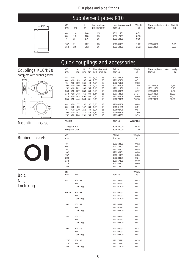## Supplement pipes K10

| -- ØD<br>- |  |
|------------|--|
|            |  |
|            |  |
|            |  |
|            |  |
|            |  |
|            |  |
|            |  |
|            |  |
|            |  |

|                |                                           |                                 | $\sim$                      |                                                               |                                      |                                  |              |
|----------------|-------------------------------------------|---------------------------------|-----------------------------|---------------------------------------------------------------|--------------------------------------|----------------------------------|--------------|
|                | ØD<br>t<br><sub>mm</sub><br>mm            | L<br>m                          | Max working<br>pressure bar | Hot-dip galvanized<br>Item No                                 | Weight<br>kg                         | Thermo-plastic coated<br>Item No | Weight<br>kg |
| 48<br>60<br>76 | 1,4<br>1,8<br>2<br>2<br>102<br>152<br>2,5 | 148<br>160<br>176<br>202<br>252 | 25<br>25<br>25<br>25<br>25  | 101211101<br>101212101<br>101213101<br>100985101<br>101218101 | 0,32<br>0,53<br>0,85<br>1,22<br>2,92 | 100985106<br>101218106           | 1,21<br>2,90 |

|                                                         |                                                                                                                                     |                                                                                                                                      |                                                    |                                                                                                                                               |                                                    | <b>Quick couplings and accessories</b>                                                                            |                                                                         |                                                                            |                                                 |
|---------------------------------------------------------|-------------------------------------------------------------------------------------------------------------------------------------|--------------------------------------------------------------------------------------------------------------------------------------|----------------------------------------------------|-----------------------------------------------------------------------------------------------------------------------------------------------|----------------------------------------------------|-------------------------------------------------------------------------------------------------------------------|-------------------------------------------------------------------------|----------------------------------------------------------------------------|-------------------------------------------------|
| <b>Couplings K10/K70</b><br>complete with rubber gasket | ØD<br>mm                                                                                                                            | Α<br>В<br>mm<br>mm                                                                                                                   | С<br>mm                                            |                                                                                                                                               | Max Max work.<br>defl. pres.bar                    | Painted<br>Item No                                                                                                | Weight<br>kg                                                            | Thermo-plastic coated<br>Item No                                           | Weight<br>kg                                    |
| 冊<br>B<br>с                                             | 48<br>K <sub>10</sub><br>60<br>K <sub>10</sub><br>76<br>K10<br>102<br>152 K10<br>203<br>273<br>K10<br>318<br>K <sub>10</sub><br>355 | 77<br>124<br>89<br>137<br>K10 109<br>168<br>140<br>208<br>202<br>280<br>K10 267<br>350<br>343<br>456<br>K10 393<br>490<br>444<br>544 | 37<br>39<br>40<br>46<br>55<br>83<br>84<br>80<br>81 | $5,0^\circ$<br>$2,5^{\circ}$<br>$4,0^\circ$<br>$2,0^\circ$<br>$2,1^{\circ}$<br>$2,1^{\circ}$<br>$1,4^{\circ}$<br>$0,8^\circ$<br>$0,9^{\circ}$ | 25<br>25<br>25<br>25<br>25<br>16<br>16<br>16<br>16 | 120258109<br>120267109<br>120276109<br>120290109<br>120311109<br>120330109<br>120354109<br>120360109<br>120370109 | 0,62<br>0,71<br>0,93<br>1,49<br>2,92<br>6,72<br>14,17<br>16,60<br>16,78 | 120290106<br>120311106<br>120330106<br>120354106<br>120360106<br>120370106 | 1,54<br>3,10<br>7,07<br>18,20<br>17,00<br>22,00 |
| H<br>в                                                  | K70<br>48<br>60<br>K70<br>76<br>102<br>K70<br>152 K70 206                                                                           | 77<br>130<br>89<br>142<br>K70 110<br>162<br>143<br>210<br>291                                                                        | 37<br>39<br>40<br>46<br>55 $1,5^{\circ}$           | $6,5^{\circ}$<br>$4.5^\circ$<br>$5,0^\circ$<br>$2,5^{\circ}$                                                                                  | 16<br>16<br>16<br>16<br>16                         | 120900709<br>120901709<br>120902709<br>120903709<br>120904709                                                     | 0,68<br>0,81<br>0,97<br>1,80<br>3,79                                    |                                                                            |                                                 |
| <b>Mounting grease</b>                                  | Weight                                                                                                                              |                                                                                                                                      |                                                    |                                                                                                                                               |                                                    | Item No                                                                                                           | Weight kg                                                               |                                                                            |                                                 |
|                                                         | 125 gram Tub<br>907 gram Can                                                                                                        |                                                                                                                                      |                                                    |                                                                                                                                               |                                                    | 300029000<br>300028000                                                                                            | 0,15<br>1,10                                                            |                                                                            |                                                 |
| <b>Rubber gaskets</b>                                   | ØD<br>mm                                                                                                                            |                                                                                                                                      |                                                    |                                                                                                                                               |                                                    | <b>EPDM</b><br>Item No                                                                                            | Weight<br>kg                                                            |                                                                            |                                                 |
| $\bigcup$                                               | 48<br>60<br>76<br>102<br>152<br>203<br>273<br>318<br>355                                                                            |                                                                                                                                      |                                                    |                                                                                                                                               |                                                    | 120264101<br>120273101<br>120282101<br>120296101<br>120315101<br>120334101<br>120357101<br>120363101<br>120373101 | 0,02<br>0,03<br>0,05<br>0,08<br>0,20<br>0,24<br>0,40<br>0,59<br>0,72    |                                                                            |                                                 |
| Bolt,                                                   | ØD<br>mm                                                                                                                            | <b>Bolt</b>                                                                                                                          |                                                    |                                                                                                                                               |                                                    | Item No                                                                                                           | Weight<br>kg                                                            |                                                                            |                                                 |
| Nut,<br>Lock ring                                       | 48                                                                                                                                  | 3/8"x51<br>Nut<br>Lock ring                                                                                                          |                                                    |                                                                                                                                               |                                                    | 120159991<br>120160991<br>120161100                                                                               | 0,03<br>0,01<br>0,01                                                    |                                                                            |                                                 |
|                                                         | 60/76                                                                                                                               | 3/8"x57<br>Nut<br>Lock ring                                                                                                          |                                                    |                                                                                                                                               |                                                    | 120162991<br>120160991<br>120161100                                                                               | 0,03<br>0,01<br>0,01                                                    |                                                                            |                                                 |
|                                                         | 102                                                                                                                                 | $1/2$ " $x57$<br>Nut<br>Lock ring                                                                                                    |                                                    |                                                                                                                                               |                                                    | 120166991<br>120167991<br>120168100                                                                               | 0,07<br>0,02<br>0,01                                                    |                                                                            |                                                 |
|                                                         | 152                                                                                                                                 | $1/2"$ x70<br>Nut<br>Lock ring                                                                                                       |                                                    |                                                                                                                                               |                                                    | 120169991<br>120167991<br>120168100                                                                               | 0,07<br>0,02<br>0,01                                                    |                                                                            |                                                 |
|                                                         | 203                                                                                                                                 | 5/8"x76<br>Nut<br>Lock ring                                                                                                          |                                                    |                                                                                                                                               |                                                    | 120163991<br>120164991<br>120165100                                                                               | 0,14<br>0,04<br>0,01                                                    |                                                                            |                                                 |
|                                                         | 273/<br>318/<br>355                                                                                                                 | 7/8"x85<br>Nut<br>Lock ring                                                                                                          |                                                    |                                                                                                                                               |                                                    | 120175991<br>120176991<br>120177100                                                                               | 0,35<br>0,07<br>0,02                                                    |                                                                            |                                                 |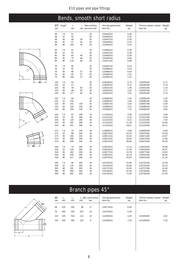# Bends, smooth short radius







| ØD<br>mm                        | Angle <sup>o</sup>          | L<br>mm                        | r                               | Max working<br>mm pressure bar | Hot-dip galvanized<br>Item No                                 | Weight<br>kg                              | Thermo-plastic coated Weight<br>Item No                       | kg                                        |
|---------------------------------|-----------------------------|--------------------------------|---------------------------------|--------------------------------|---------------------------------------------------------------|-------------------------------------------|---------------------------------------------------------------|-------------------------------------------|
| 48<br>48<br>48<br>48<br>48      | 7,5<br>15<br>30<br>45<br>90 | 51<br>53<br>58<br>67<br>100    | 34<br>34<br>34                  | 25<br>25<br>25<br>25<br>25     | 110445101<br>110446101<br>110447101<br>110448101<br>110450101 | 0,28<br>0,25<br>0,36<br>0,42<br>0,55      |                                                               |                                           |
| 60<br>60<br>60<br>60<br>60      | 7,5<br>15<br>30<br>45<br>90 | 52<br>54<br>63<br>74<br>119    | 46<br>46<br>46                  | 25<br>25<br>25<br>25<br>25     | 110466101<br>110467101<br>110468101<br>110469101<br>110471101 | 0,38<br>0,38<br>0,56<br>0,66<br>0,96      |                                                               |                                           |
| 76<br>76<br>76<br>76<br>76      | 7,5<br>15<br>30<br>45<br>90 | 50<br>55<br>68<br>82<br>138    | 57<br>57<br>57                  | 25<br>25<br>25<br>25<br>25     | 110487101<br>110488101<br>110489101<br>110490101<br>110492101 | 0,53<br>0,53<br>0,84<br>1,01<br>1,52      |                                                               |                                           |
| 102<br>102<br>102<br>102<br>102 | 7,5<br>15<br>30<br>45<br>90 | 53<br>57<br>79<br>98<br>177    | 82<br>82<br>82                  | 25<br>25<br>25<br>25<br>25     | 110529101<br>110530101<br>110531101<br>110532101<br>110534101 | 0,72<br>0,72<br>1,45<br>1,82<br>2,81      | 110529106<br>110530106<br>110531106<br>110532106<br>110534106 | 0,71<br>0,70<br>1,42<br>1,77<br>2,74      |
| 152<br>152<br>152<br>152<br>152 | 7,5<br>15<br>30<br>45<br>90 | 50<br>720<br>101<br>132<br>258 | 139<br>139<br>139               | 25<br>25<br>25<br>25<br>25     | 110585101<br>110586101<br>110587101<br>110588101<br>110590101 | 1,54<br>1,84<br>3,42<br>4,41<br>7,31      | 110585106<br>110586106<br>110587106<br>110588106<br>110590106 | 1,52<br>1,80<br>3,30<br>4,24<br>6,95      |
| 203<br>203<br>203<br>203<br>203 | 7,5<br>15<br>30<br>45<br>90 | 62<br>81<br>120<br>162<br>331  | 186<br>186<br>186<br>186<br>186 | 16<br>16<br>16<br>16<br>16     | 111220101<br>111221101<br>111222101<br>111223101<br>111225101 | 4,96<br>6,19<br>8,21<br>11,28<br>19,07    | 111220106<br>111221106<br>111222106<br>111223106<br>111225106 | 4,89<br>6,04<br>7,92<br>10,83<br>18,11    |
| 273<br>273<br>273<br>273<br>273 | 7,5<br>15<br>30<br>45<br>90 | 73<br>98<br>150<br>206<br>429  | 245<br>245<br>245<br>245<br>245 | 16<br>16<br>16<br>16<br>16     | 110669101<br>110670101<br>110671101<br>110672101<br>110674101 | 8,96<br>10,76<br>15,52<br>18,40<br>30,80  | 110669106<br>110670106<br>110671106<br>110672106<br>110674106 | 8,84<br>10,49<br>14,97<br>17,66<br>29,26  |
| 318<br>318<br>318<br>318<br>318 | 7,5<br>15<br>30<br>45<br>90 | 73<br>120<br>182<br>249<br>517 | 295<br>295<br>295<br>295<br>295 | 16<br>16<br>16<br>16<br>16     | 110679101<br>110678101<br>110677101<br>110676101<br>110675101 | 11,13<br>17,40<br>24,79<br>32,19<br>54,00 | 110679106<br>110678106<br>110677106<br>110676106<br>110675106 | 10,98<br>16,97<br>23,92<br>30,90<br>51,30 |
| 355<br>355<br>355<br>355<br>355 | 7,5<br>15<br>30<br>45<br>90 | 86<br>118<br>191<br>269<br>582 | 355<br>355<br>355<br>355<br>355 | 16<br>16<br>16<br>16<br>16     | 110725101<br>110726101<br>110727101<br>110728101<br>110730101 | 22,80<br>22,80<br>32,60<br>42,30<br>71,50 | 110725106<br>110726106<br>110727106<br>110728106<br>110730106 | 22,49<br>22,23<br>31,46<br>40,61<br>67,93 |

# Branch pipes 45°



| ØD<br>mm. | L,<br>mm | $L_{2}$<br><sub>mm</sub> | m <sub>m</sub> | L, Max work.press<br>bar | Hot-dip galvanized<br>Item No | Weight<br>kg | Thermo-plastic coated<br>Item No | Weight<br>kg |
|-----------|----------|--------------------------|----------------|--------------------------|-------------------------------|--------------|----------------------------------|--------------|
| 48        | 225      | 195                      | 88             | 17                       | 110173101                     | 0,83         |                                  |              |
| 76        | 280      | 250                      | 102            | 15                       | 110178101                     | 2,06         |                                  |              |
| 102       | 325      | 316                      | 112            | 10                       | 110184101                     | 3,20         | 110184106                        | 3,02         |
| 152       | 400      | 380                      | 125            | 8                        | 110189101                     | 7,26         | 110189106                        | 7,05         |
|           |          |                          |                |                          |                               |              |                                  |              |
|           |          |                          |                |                          |                               |              |                                  |              |
|           |          |                          |                |                          |                               |              |                                  |              |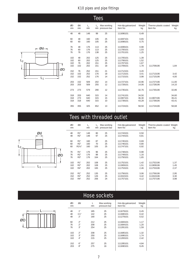

|          |          |            | Tees       |                                |                               |              |                                  |              |
|----------|----------|------------|------------|--------------------------------|-------------------------------|--------------|----------------------------------|--------------|
| ØD<br>mm | Ød<br>mm | L,<br>mm   | $L_{2}$    | Max working<br>mm pressure bar | Hot-dip galvanized<br>Item No | Weight<br>kg | Thermo-plastic coated<br>Item No | Weight<br>kg |
| 48       | 48       | 148        | 99         | 25                             | 111696101                     | 0,49         |                                  |              |
| 60<br>60 | 48<br>60 | 160<br>160 | 105<br>105 | 25<br>25                       | 111697101<br>111698101        | 0,65<br>0,75 |                                  |              |
| 76       | 48       | 176        | 113        | 25                             | 111699101                     | 0,98         |                                  |              |
| 76       | 60       | 176        | 113        | 25                             | 111700101                     | 1,03         |                                  |              |
| 76       | 76       | 176        | 138        | 25                             | 111701101                     | 1,25         |                                  |              |
| 102      | 48       | 202        | 125        | 25                             | 111705101                     | 1,39         |                                  |              |
| 102      | 60       | 202        | 125        | 25                             | 111706101                     | 1,52         |                                  |              |
| 102      | 76       | 202        | 151        | 25                             | 111707101                     | 1,67         |                                  |              |
| 102      | 102      | 202        | 151        | 18                             | 111709101                     | 1,78         | 111709106                        | 1,84         |
| 152      | 76       | 252        | 151        | 21                             | 111712101                     | 3,20         |                                  |              |
| 152      | 102      | 252        | 176        | 18                             | 111713101                     | 3,41         | 111713106                        | 3,42         |
| 152      | 152      | 252        | 176        | 14                             | 111715101                     | 3,98         | 111715106                        | 4,00         |
| 203      | 152      | 509        | 202        | 14                             | 111727101                     | 10,96        | 111727106                        | 11,00        |
| 203      | 203      | 509        | 255        | 12                             | 111728101                     | 14,06        | 111728106                        | 14,10        |
| 273      | 273      | 579        | 290        | 12                             | 111735101                     | 32,76        | 111735106                        | 32,86        |
| 318      | 203      | 640        | 315        | 14                             | 111741101                     | 34,50        |                                  | 34,60        |
| 318      | 273      | 640        | 315        | 15                             | 111907101                     | 36,30        | 111907106                        | 36,41        |
| 318      | 318      | 640        | 315        | 10                             | 111739101                     | 43,28        | 111739106                        | 43,41        |
| 355      | 355      | 325        | 652        | 13                             | 111724101                     | 58,50        | 111724106                        | 58,68        |

# Tees with threaded outlet



| ØD<br>mm          | Ød                   | L,<br>mm          | m <sub>m</sub>    | Max working<br>pressure bar | Hot-dip galvanized<br>Item No       | Weight<br>kg         | Thermo-plastic coated Weight<br>Item No | kg                   |
|-------------------|----------------------|-------------------|-------------------|-----------------------------|-------------------------------------|----------------------|-----------------------------------------|----------------------|
| 48<br>48          | R1"<br>R2"           | 148<br>148        | 80<br>97          | 25<br>25                    | 111743101<br>111744101              | 0,50<br>0,81         |                                         |                      |
| 60<br>60<br>60    | R1"<br>R2"<br>R21/2" | 160<br>160<br>160 | 87<br>70<br>105   | 25<br>25<br>25              | 111745101<br>111746101<br>111747101 | 0,69<br>0,80<br>0,92 |                                         |                      |
| 76<br>76<br>76    | R1"<br>R2"<br>R3"    | 176<br>176<br>176 | 96<br>88<br>164   | 25<br>25<br>25              | 111748101<br>111749101<br>111750101 | 0,98<br>1,16<br>1,65 |                                         |                      |
| 102<br>102<br>102 | R1"<br>R2"<br>R4"    | 202<br>202<br>202 | 108<br>108<br>165 | 25<br>25<br>25              | 111752101<br>111909101<br>111753101 | 1,42<br>1,51<br>2,46 | 111752106<br>111909106<br>111753106     | 1,37<br>1,45<br>2,37 |
| 152<br>152<br>152 | R1"<br>R2"<br>R4"    | 252<br>252<br>252 | 135<br>126<br>206 | 25<br>25<br>24              | 111756101<br>111910101<br>111757101 | 3,06<br>3,42<br>4,12 | 111756106<br>111910106<br>111757106     | 2,95<br>3,30<br>3,98 |

# Hose sockets

| ØD<br>mm | Ød             | L<br>mm | Max working<br>pressure bar | Hot-dip galvanized<br>Item No | Weight<br>kg |  |
|----------|----------------|---------|-----------------------------|-------------------------------|--------------|--|
| 48       | 1"             | 185     | 25                          | 111679101                     | 0,45         |  |
| 48       | $1\frac{1}{2}$ | 142     | 25                          | 111680101                     | 0,42         |  |
| 48       | 2"             | 190     | 25                          | 111279101                     | 0,52         |  |
| 60       | 2"             | 212     | 25                          | 111683101                     | 1,17         |  |
| 76       | 2"             | 208     | 25                          | 111684101                     | 1,20         |  |
| 76       | 3"             | 254     | 25                          | 111281101                     | 1,59         |  |
| 102      | 2"             | 208     | 25                          | 111685101                     | 1,32         |  |
| 102      | 3"             | 250     | 25                          | 111686101                     | 1,74         |  |
| 102      | 4"             | 215     | 25                          | 111283101                     | 2,42         |  |
| 152      | 6"             | 257     | 25                          | 111285101                     | 4,84         |  |
| 203      | 8"             | 275     | 16                          | 111690101                     | 9,45         |  |
|          |                |         |                             |                               |              |  |

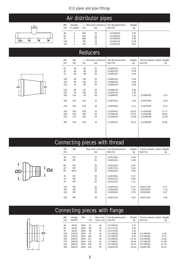# Air distributor pipes

|     |   | ⊢−⊘D—∣ |   |
|-----|---|--------|---|
|     |   |        |   |
| ≋   | ₿ | 肩      | s |
| R1" |   |        |   |

#### 48 3 492 25 111333101 2,34 60 4 676 25 111336101 3,02 76 4 686 25 111339101 3,98 00 4 676 25 111336101 3,02<br>
76 4 686 25 111339101 3,98<br>
102 4 700 18 111345101 5,28<br>
152 4 726 13 111351101 9,61 111351101

ØD Number L Max work. pressure Hot-dip galvanized Weight mm of outlets mm bar | Item No kg

## **Reducers**



| ØD  | Ød            |     | L Max work. pressure | Hot-dip galvanized | Weight | Thermo-plastic coated Weight |       |
|-----|---------------|-----|----------------------|--------------------|--------|------------------------------|-------|
| mm  | <sub>mm</sub> | mm  | bar                  | Item No            | kg     | Item No                      | kg    |
|     |               |     |                      | 111850101          |        |                              |       |
| 60  | 48            | 85  | 25                   |                    | 0.72   |                              |       |
| 76  | 48            | 85  | 25                   | 111851101          | 0,39   |                              |       |
| 76  | 60            | 86  | 25                   | 111852101          | 0,44   |                              |       |
| 102 | 48            | 135 | 25                   | 111861101          | 0,53   |                              |       |
| 102 | 60            | 135 | 25                   | 111862101          | 0,59   |                              |       |
| 102 | 76            | 85  | 25                   | 111863101          | 0,65   |                              |       |
|     |               |     |                      |                    |        |                              |       |
| 152 | 48            | 147 | 25                   | 111866101          | 2,94   |                              |       |
| 152 | 76            | 130 | 25                   | 111867101          | 2,05   |                              |       |
| 152 | 102           | 85  | 25                   | 111868101          | 1,19   | 111868106                    | 1,15  |
|     |               |     |                      |                    |        |                              |       |
| 203 | 152           | 191 | 16                   | 111875101          | 4,54   | 111875106                    | 4,25  |
|     |               |     |                      |                    |        |                              |       |
| 254 | 203           | 278 | 16                   | 111879101          | 9,11   | 111879106                    | 8,74  |
| 318 | 203           | 303 | 16                   | 111204101          | 18,52  | 111204106                    | 17,77 |
| 318 | 254           | 303 | 16                   | 111205101          | 19,31  | 111205106                    | 18,54 |
| 318 | 273           | 303 | 16                   | 111206101          | 12,58  | 111206106                    | 12,08 |
|     |               |     |                      |                    |        |                              |       |
| 355 | 318           | 430 | 16                   | 111209101          | 16,21  | 111209106                    | 15,56 |
|     |               |     |                      |                    |        |                              |       |
|     |               |     |                      |                    |        |                              |       |
|     |               |     |                      |                    |        |                              |       |

## Connecting pieces with thread

| ØD<br><sub>mm</sub> | Ød     | Max work. pressure<br>bar | Hot-dip galvanized<br>Item No | Weight<br>kg | Thermo-plastic coated Weight<br>Item No | kg   |
|---------------------|--------|---------------------------|-------------------------------|--------------|-----------------------------------------|------|
| 48                  | R1"    | 25                        | 110213101                     | 0,29         |                                         |      |
| 48                  | R2"    | 25                        | 110215101                     | 0,48         |                                         |      |
| 60                  | R1"    | 25                        | 110216101                     | 0,45         |                                         |      |
| 60                  | R2"    | 25                        | 110217101                     | 0,53         |                                         |      |
| 60                  | R21/2" | 25                        | 110218101                     | 0,96         |                                         |      |
| 76                  | R1"    | 25                        | 110219101                     | 0,72         |                                         |      |
| 76                  | R2"    | 25                        | 110221101                     | 0,60         |                                         |      |
| 76                  | R3"    | 25                        | 110223101                     | 1,12         |                                         |      |
|                     |        |                           |                               |              |                                         |      |
| 102                 | R2"    | 25                        | 110227101                     | 0,74         | 110227106                               | 0,71 |
| 102                 | R3"    | 25                        | 110229101                     | 1,29         | 110229106                               | 1,23 |
| 102                 | R4"    | 25                        | 110230101                     | 2,79         | 110230106                               | 2,67 |
| 152                 | R6"    | 25                        | 110237101                     | 4,64         | 110237106                               | 4,46 |

# Connecting pieces with flange

|  |  |  | ØD |
|--|--|--|----|
|  |  |  |    |

|          |                 | . .        |     |                         |                               |              |                                         |       |
|----------|-----------------|------------|-----|-------------------------|-------------------------------|--------------|-----------------------------------------|-------|
| ØD<br>mm | Flange<br>DN/PN | <b>DIN</b> | mm  | Max work.<br>press, bar | Hot-dip galvanized<br>Item No | Weight<br>kg | Thermo-plastic coated Weight<br>Item No | kg    |
| 48       | 40/16           | 2633       | 87  | 16                      | 111768101                     | 1,97         |                                         |       |
| 60       | 60/16           | 2633       | 90  | 16                      | 111771101                     | 2,81         |                                         |       |
| 76       | 65/16           | 2633       | 90  | 16                      | 111774101                     | 3,43         |                                         |       |
| 102      | 100/16          | 2633       | 97  | 16                      | 111780101                     | 5.08         | 111780106                               | 5,36  |
| 152      | 150/16          | 2633       | 100 | 16                      | 111763101                     | 9,04         | 111763106                               | 8,72  |
| 203      | 200/10          | 2632       | 112 | 10                      | 111789101                     | 14.16        | 111789106                               | 13,60 |
| 273      | 250/10          | 2632       | 118 | 10 <sup>10</sup>        | 111798101                     | 18,63        | 111798106                               | 17,88 |
| 318      | 300/10          | 2632       | 128 | 10                      | 111799101                     | 23,73        | 111799106                               | 22,78 |
| 355      | 350/10          | 2632       | 118 | 10                      | 111807101                     | 26,20        | 111807106                               | 25,15 |
|          |                 |            |     |                         |                               |              |                                         |       |

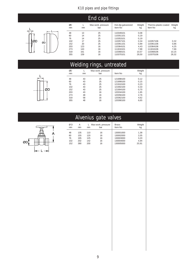

|          |         | <b>End caps</b>           |                               |              |                                  |              |
|----------|---------|---------------------------|-------------------------------|--------------|----------------------------------|--------------|
| ØD<br>mm | L<br>mm | Max work. pressure<br>bar | Hot-dip galvanized<br>Item No | Weight<br>kg | Thermo-plastic coated<br>Item No | Weight<br>kg |
| 48       | 13      | 25                        | 110349101                     | 0,08         |                                  |              |
| 60       | 14      | 25                        | 110351101                     | 0,19         |                                  |              |
| 76       | 14      | 25                        | 110353101                     | 0,19         |                                  |              |
| 102      | 17      | 25                        | 110357101                     | 0,34         | 110357106                        | 0,32         |
| 152      | 20      | 25                        | 110361101                     | 0,89         | 110361106                        | 0,86         |
| 203      | 123     | 16                        | 110364101                     | 4,43         | 110364106                        | 4,25         |
| 273      | 143     | 16                        | 111816101                     | 7,98         | 111816106                        | 7,66         |
| 318      | 161     | 16                        | 110368101                     | 10,57        | 110368106                        | 10,15        |
| 355      | 159     | 16                        | 110370101                     | 29,50        | 110370106                        | 28,32        |

# Welding rings, untreated

|  | ØD |
|--|----|

| ØD<br><sub>mm</sub> | <sub>mm</sub> | Max work. pressure<br>bar | Item No   | Weight<br>kg |  |
|---------------------|---------------|---------------------------|-----------|--------------|--|
| 48                  | 43            | 25                        | 121898100 | 0,12         |  |
| 60                  | 43            | 25                        | 121899100 | 0,15         |  |
| 76                  | 43            | 25                        | 121910100 | 0,23         |  |
| 102                 | 43            | 25                        | 121902100 | 0,33         |  |
| 152                 | 43            | 25                        | 121904100 | 0,70         |  |
| 203                 | 43            | 16                        | 120334100 | 1,65         |  |
| 273                 | 48            | 16                        | 120356100 | 2,76         |  |
| 318                 | 58            | 16                        | 120362100 | 4,62         |  |
| 355                 | 48            | 16                        | 120390100 | 6,65         |  |
|                     |               |                           |           |              |  |
|                     |               |                           |           |              |  |

# Alvenius gate valves



| ØD<br>mm | Α<br>mm | mm  | Max work. pressure<br>bar | <b>Brass</b><br>Item No | Weight<br>kg |  |
|----------|---------|-----|---------------------------|-------------------------|--------------|--|
| 48       | 135     | 110 | 16                        | 130001000               | 1,38         |  |
| 60       | 155     | 120 | 16                        | 130002000               | 2,05         |  |
| 76       | 195     | 125 | 16                        | 130003000               | 3,20         |  |
| 102      | 202     | 142 | 16                        | 130004000               | 4,94         |  |
| 152      | 390     | 200 | 16                        | 130005000               | 20,91        |  |
|          |         |     |                           |                         |              |  |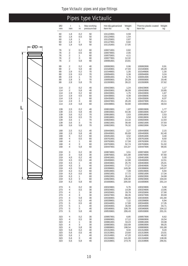|            |                |              | <b>Pipes type Victaulic</b> |                               |                 |                                         |                 |
|------------|----------------|--------------|-----------------------------|-------------------------------|-----------------|-----------------------------------------|-----------------|
| ØD<br>mm   | t<br>mm        | L<br>m       | Max working<br>pressure bar | Hot-dip galvanized<br>Item No | Weight<br>kg    | Thermo-plastic coated Weight<br>Item No | kg              |
| 60         | 1,8            | 0,2          | 50                          | 101122801                     | 0,59            |                                         |                 |
| 60         | 1,8            | 0,5          | 50                          | 101124801                     | 1,54            |                                         |                 |
| 60         | 1,8            | 1            | 50                          | 101125801                     | 2,87            |                                         |                 |
| 60         | 1,8            | 3            | 50                          | 101127801                     | 8,82            |                                         |                 |
| 60         | 1,8            | 5,8          | 50                          | 101131801                     | 17,05           |                                         |                 |
| 76<br>76   | 2<br>2         | 0,2<br>0,5   | 60<br>60                    | 100071801<br>100074801        | 0,82<br>2,05    |                                         |                 |
| 76         | 2              | 1            | 60                          | 100075801                     | 4,11            |                                         |                 |
| 76         | 2              | 3            | 60                          | 100077801                     | 12,32           |                                         |                 |
| 76         | 2              | 5,8          | 60                          | 100081801                     | 23,81           |                                         |                 |
| 89         | 2              | 0,2          | 40                          | 100082801                     | 0,96            | 100082806                               | 0,91            |
| 89         | 2              | 5,8          | 40                          | 101540801                     | 27,93           | 101540806                               | 26,29           |
| 89         | 2,9            | 0,2          | 70                          | 101549801                     | 1,35            | 101549806                               | 1,30            |
| 89         | 2,9            | 0,5          | 70                          | 100094801                     | 3,38            | 100094806                               | 3,24            |
| 89<br>89   | 2,9<br>2,9     | 1<br>3       | 70<br>70                    | 100091801<br>100093801        | 6,76<br>20,29   | 100091806<br>100093806                  | 6,49<br>19,46   |
| 89         | 2,9            | 5,8          | 70                          | 101550801                     | 39,22           | 101550806                               | 37,62           |
|            | $\overline{2}$ |              | 40                          |                               |                 |                                         |                 |
| 114<br>114 | 2              | 0,2<br>5,8   | 40                          | 100423801<br>100420801        | 1,24<br>36,09   | 100423806<br>100420806                  | 1,17<br>33,85   |
| 114        | 2,9            | 0,2          | 60                          | 100433801                     | 1,75            | 100433806                               | 1,67            |
| 114        | 2,9            | 0,5          | 60                          | 100438801                     | 4,38            | 100438806                               | 4,18            |
| 114        | 2,9            | 1            | 60                          | 100435801                     | 8,76            | 100435806                               | 8,37            |
| 114        | 2,9            | 3            | 60                          | 100437801                     | 26,28           | 100437806                               | 25,11           |
| 114        | 2,9            | 5,8          | 60                          | 100439801                     | 50,80           | 100439806                               | 48,54           |
| 139        | 2,5            | 0,2          | 40                          | 100815801                     | 1,87            | 100815806                               | 1,77            |
| 139        | 2,5            | 5,8          | 40                          | 100816801                     | 54,36           | 100816806                               | 51,47           |
| 139        | 3,6            | 0,2          | 70                          | 100818801                     | 2,63            | 100818806                               | 2,53            |
| 139        | 3,6            | 0,5          | 70                          | 100819801                     | 6,58            | 100819806                               | 6,32            |
| 139<br>139 | 3,6<br>3,6     | 1<br>3       | 70<br>70                    | 100820801<br>100821801        | 13,16<br>39,48  | 100820806<br>100821806                  | 12,64<br>37,93  |
| 139        | 3,6            | 5,8          | 70                          | 100822801                     | 76,32           | 100822806                               | 73,34           |
| 168        | 2,5            | 0,2          | 40                          | 100443801                     | 2,27            | 100443806                               | 2,15            |
| 168        | 2,5            | 5,8          | 40                          | 100445801                     | 65,69           | 100445806                               | 62,40           |
| 168        | 4              | 0,2          | 60                          | 100451801                     | 3,52            | 100451806                               | 3,40            |
| 168        | 4              | 0,5          | 60                          | 100761801                     | 8,79            | 100761806                               | 8,50            |
| 168        | 4              | 1            | 60                          | 100762801                     | 17,58           | 100762806                               | 17,01           |
| 168        | 4              | 3            | 60                          | 100763801                     | 52,74           | 100763806                               | 51,02           |
| 168        | 4              | 5,8          | 60                          | 100447801                     | 101,97          | 100447806                               | 98,65           |
| 219        | 3              | 0,2          | 30                          | 100874801                     | 3,51            | 100874806                               | 3,37            |
| 219        | 3              | 5,8          | 30                          | 100876801                     | 101,88          | 100876806                               | 97,60           |
| 219        | 4,5            | 0,2          | 40                          | 100401801                     | 5,15            | 100401806                               | 5,00            |
| 219<br>219 | 4,5<br>4,5     | 0,5<br>1     | 40<br>40                    | 100406801<br>100403801        | 12,88<br>25,76  | 100406806<br>100403806                  | 12,51<br>25,01  |
| 219        | 4,5            | 3            | 40                          | 100404801                     | 77,27           | 100404806                               | 75,04           |
| 219        | 4,5            | 5,8          | 40                          | 100399801                     | 149,38          | 100399806                               | 145,07          |
| 219        | 6,3            | 0,2          | 60                          | 100919801                     | 7,09            | 100919806                               | 6,94            |
| 219        | 6,3            | 0,5          | 60                          | 100921801                     | 17,72           | 100921806                               | 17,34           |
| 219        | 6,3            | 1            | 60                          | 100922801                     | 35,43           | 100922806                               | 34,68           |
| 219        | 6,3            | 3            | 60                          | 100923801                     | 106,30          | 100923806                               | 104,04          |
| 219        | 6,3            | 5,8          | 60                          | 101600801                     | 205,50          | 101600806                               | 201,14          |
| 273        | 4              | 0,2          | 30                          | 100323801                     | 5,76            | 100323806                               | 5,58            |
| 273        | 4              | 0,5          | 30                          | 100324801                     | 14,39           | 100324806                               | 13,95           |
| 273        | 4              | $\mathbf{1}$ | 30                          | 100325801                     | 28,78           | 100325806                               | 27,90           |
| 273<br>273 | 4<br>4         | 3<br>5,8     | 30<br>30                    | 100327801<br>100330801        | 86,35<br>166,95 | 100327806<br>100330806                  | 83,69<br>161,80 |
| 273        | 5              | 0,2          | 40                          | 100339801                     | 7,12            | 100339806                               | 6,94            |
| 273        | 5              | 0,5          | 40                          | 100344801                     | 17,80           | 100344806                               | 17,35           |
| 273        | 5              | 1            | 40                          | 100345801                     | 35,59           | 100345806                               | 34,71           |
| 273        | 5              | 3            | 40                          | 100346801                     | 106,78          | 100346806                               | 104,12          |
| 273        | 5              | 5,8          | 40                          | 100533801                     | 206,43          | 100533806                               | 201,31          |
| 323<br>323 | 4<br>4         | 0,2<br>0,5   | 30<br>30                    | 100857801<br>100860801        | 6,85<br>17,12   | 100857806<br>100860806                  | 6,62<br>16,54   |
| 323        | 4              | 1            | 30                          | 100861801                     | 34,23           | 100861806                               | 33,08           |
| 323        | 4              | 3            | 30                          | 100863801                     | 102,69          | 100863806                               | 99,25           |
| 323        | 4              | 5,8          | 30                          | 100869801                     | 198,54          | 100869806                               | 191,88          |
| 323        | 5,6            | 0,2          | 40                          | 101312801                     | 9,44            | 101312806                               | 9,20            |
| 323        | 5,6            | 0,5          | 40                          | 101313801                     | 23,60           | 101313806                               | 23,01           |
| 323        | 5,6            | 1            | 40                          | 101314801                     | 47,20           | 101314806                               | 46,02           |
| 323        | 5,6            | 3            | 40                          | 101316801                     | 141,60          | 101316806                               | 138,06          |
| 323        | 5,6            | 5,8          | 40                          | 101319801                     | 273,76          | 101319806                               | 266,91          |

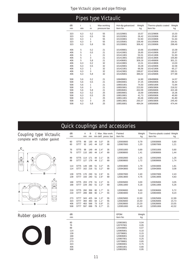$\overline{\phantom{a}}$ 

|     |     |     | <b>Pipes type Victaulic</b> |                    |        |                       |        |
|-----|-----|-----|-----------------------------|--------------------|--------|-----------------------|--------|
| ØD  | t   | L   | Max working                 | Hot-dip galvanized | Weight | Thermo-plastic coated | Weight |
| mm  | mm  | m   | pressure bar                | Item No            | kg     | Item No               | kg     |
| 323 | 6,3 | 0,2 | 55                          | 101329801          | 10,57  | 101329806             | 10,33  |
| 323 | 6,3 | 0,5 | 55                          | 101332801          | 26,42  | 101332806             | 25,82  |
| 323 | 6,3 | 1   | 55                          | 101333801          | 52.83  | 101333806             | 51.64  |
| 323 | 6,3 | 3   | 55                          | 101335801          | 158,49 | 101335806             | 154,91 |
| 323 | 6,3 | 5,8 | 55                          | 101330801          | 306,42 | 101330806             | 299,49 |
| 406 | 5   | 0,2 | 21                          | 101409801          | 10,66  | 101409806             | 10,39  |
| 406 | 5   | 0,5 | 21                          | 101410801          | 26,65  | 101410806             | 25,97  |
| 406 | 5   | 1   | 21                          | 101411801          | 53.31  | 101411806             | 51,93  |
| 406 | 5   | 3   | 21                          | 101413801          | 159,92 | 101413806             | 155,80 |
| 406 | 5   | 5,8 | 21                          | 101406801          | 309,19 | 101406806             | 301,21 |
| 406 | 6,3 | 0,2 | 32                          | 101419801          | 13,31  | 101419806             | 13.03  |
| 406 | 6,3 | 0,5 | 32                          | 101420801          | 33,28  | 101420806             | 32,58  |
| 406 | 6,3 | 1   | 32                          | 101421801          | 66.56  | 101421806             | 65,17  |
| 406 | 6,3 | 3   | 32                          | 101423801          | 199.67 | 101423806             | 195.51 |
| 406 | 6,3 | 5,8 | 32                          | 101426801          | 386,02 | 101426806             | 377,99 |
| 508 | 5,6 | 0.2 | 21                          | 108499801          | 14.90  | 108499806             | 14.57  |
| 508 | 5,6 | 0,5 | 21                          | 108500801          | 37,25  | 108500806             | 36,42  |
| 508 | 5,6 | 1   | 21                          | 108501801          | 74.50  | 108501806             | 72,84  |
| 508 | 5,6 | 3   | 21                          | 108503801          | 223.50 | 108503806             | 218.52 |
| 508 | 5,6 | 5,8 | 21                          | 108506801          | 432.09 | 108506806             | 422,48 |
| 508 | 6,3 | 0,2 | 25                          | 108509801          | 16,69  | 108509806             | 16,36  |
| 508 | 6,3 | 0,5 | 25                          | 108510801          | 41,73  | 108500806             | 40,90  |
| 508 | 6,3 | 1   | 25                          | 108511801          | 83,46  | 108501806             | 81,80  |
| 508 | 6,3 | 3   | 25                          | 108513801          | 250,37 | 108503806             | 245,40 |
| 508 | 6,3 | 5,8 | 25                          | 108516801          | 484.04 | 108506806             | 474.44 |

# Quick couplings and accessories

| <b>Coupling type Victaulic</b> | ØD<br>mm                                                               |                                                          | Α<br>mm                  | B<br>mm                  |                      |                                                            | C Max. Max work.<br>mm defl. press. bar | Painted<br>Item No                                                                                                                          | Weight<br>kg                                                                         | Thermo-plastic coated Weight<br>Item No          | kg                               |
|--------------------------------|------------------------------------------------------------------------|----------------------------------------------------------|--------------------------|--------------------------|----------------------|------------------------------------------------------------|-----------------------------------------|---------------------------------------------------------------------------------------------------------------------------------------------|--------------------------------------------------------------------------------------|--------------------------------------------------|----------------------------------|
| complete with rubber gasket    | 60<br>60                                                               | <b>ST75</b><br><b>ST77</b>                               | 86<br>92                 | 130<br>143               | 44<br>44             | $3.0^\circ$<br>$3.0^\circ$                                 | 35<br>69                                | 120930800<br>120807800                                                                                                                      | 0,79<br>1,20                                                                         | 120930806<br>120807806                           | 0,80<br>1,21                     |
| С                              | 76<br>76                                                               | <b>ST75</b><br><b>ST77</b>                               | 98<br>110                | 149<br>160               | 44<br>44             | $2.4^\circ$<br>$2,4^{\circ}$                               | 35<br>69                                | 120931800<br>120808800                                                                                                                      | 0,89<br>1,41                                                                         | 120931806<br>120808806                           | 0,90<br>1,44                     |
| A<br>۳ħ<br>Α                   | 89<br>89                                                               | <b>ST75</b><br><b>ST77</b>                               | 114<br>127               | 171<br>178               | 44<br>44             | $2,1^{\circ}$<br>$2,1^{\circ}$                             | 35<br>69                                | 120932800<br>120809800                                                                                                                      | 1,25<br>1,72                                                                         | 120932806<br>120809806                           | 1,26<br>1,74                     |
|                                | 114<br>114                                                             | <b>ST75</b><br><b>ST77</b>                               | 149                      | 196<br>162 216           | 51<br>51             | $3.2^\circ$<br>$3,2^{\circ}$                               | 35<br>69                                | 120933800<br>120943800                                                                                                                      | 1,79<br>3,04                                                                         | 120933806<br>120943806                           | 1,81<br>3,08                     |
| B                              | 139<br>139                                                             | ST75<br><b>ST77</b>                                      | 193                      | 170 230<br>240           | 51<br>51             | $2.6^\circ$<br>$2.6^\circ$                                 | 31<br>69                                | 120937800<br>120813800                                                                                                                      | 2,40<br>4,76                                                                         | 120937806<br>120813806                           | 2,43<br>4,83                     |
|                                | 168<br>168                                                             | <b>ST75</b><br><b>ST77</b>                               | 203<br>229               | 279<br>292               | 51<br>51             | $2.2^\circ$<br>$2,2^{\circ}$                               | 31<br>69                                | 120935800<br>120811800                                                                                                                      | 3,00<br>5,18                                                                         | 120935806<br>120811806                           | 3,05<br>5,26                     |
| Α                              | 219<br>219                                                             | <b>ST75</b><br><b>ST77</b>                               | 260<br>289               | 356<br>368               | 60<br>60             | $1,7^\circ$<br>$1.7^\circ$                                 | 31<br>55                                | 120936800<br>120804800                                                                                                                      | 5,60<br>9,10                                                                         | 120936806<br>120804806                           | 5,72<br>9,24                     |
| B                              | 273<br>323<br>406<br>508                                               | <b>ST77</b><br><b>ST77</b><br><b>ST77</b><br><b>ST77</b> | 343<br>394<br>483<br>597 | 425<br>483<br>568<br>699 | 64<br>64<br>73<br>79 | $1.3^\circ$<br>$1,1^{\circ}$<br>$0.9^\circ$<br>$0.7^\circ$ | 55<br>55<br>21<br>21                    | 120825800<br>120826800<br>120828800<br>120951800                                                                                            | 12,80<br>15,50<br>23,20<br>41,40                                                     | 120825806<br>120826806<br>120828806<br>120951806 | 12,99<br>15,73<br>23,55<br>42,02 |
| <b>Rubber gaskets</b>          | ØD<br>mm                                                               |                                                          |                          |                          |                      |                                                            |                                         | <b>EPDM</b><br>Item No                                                                                                                      | Weight<br>kg                                                                         |                                                  |                                  |
|                                | 60<br>76<br>89<br>114<br>139<br>168<br>219<br>273<br>323<br>406<br>508 |                                                          |                          |                          |                      |                                                            |                                         | 120803801<br>120797801<br>120449801<br>120805801<br>120798801<br>120806801<br>120807801<br>120799801<br>120800801<br>120801801<br>120802801 | 0.04<br>0,05<br>0.07<br>0,10<br>0,15<br>0,18<br>0,25<br>0,65<br>0,75<br>0,80<br>0,95 |                                                  |                                  |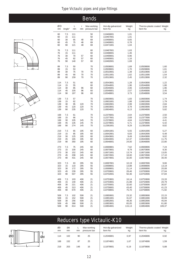





ØD

|                                 |                             |                                 |                                 | <b>Bends</b>                |                                                               |                                            |                                                               |                                            |
|---------------------------------|-----------------------------|---------------------------------|---------------------------------|-----------------------------|---------------------------------------------------------------|--------------------------------------------|---------------------------------------------------------------|--------------------------------------------|
| ØD<br>mm                        | Angle <sup>o</sup>          | L<br>mm                         | r<br>mm                         | Max working<br>pressure bar | Hot-dip galvanized<br>Item No                                 | Weight<br>kg                               | Thermo-plastic coated Weight<br>Item No                       | kg                                         |
| 60<br>60<br>60<br>60<br>60      | 7,5<br>15<br>30<br>45<br>90 | 111<br>111<br>65<br>75<br>121   | 48<br>48<br>48                  | 50<br>50<br>69<br>69<br>69  | 110466801<br>110467801<br>110468801<br>110469801<br>110471801 | 1,01<br>1,01<br>0,65<br>0,78<br>1,04       |                                                               |                                            |
| 76<br>76<br>76<br>76<br>76      | 7,5<br>15<br>30<br>45<br>90 | 111<br>111<br>70<br>82<br>140   | 57<br>57<br>57                  | 60<br>60<br>60<br>60<br>60  | 110487801<br>110488801<br>110489801<br>110490801<br>110492801 | 1,63<br>1,46<br>0,96<br>1,16<br>1,69       |                                                               |                                            |
| 89<br>89<br>89<br>89<br>89      | 7,5<br>15<br>30<br>45<br>90 | 50<br>53<br>75<br>90<br>159     | 70<br>70<br>70                  | 70<br>70<br>70<br>70<br>70  | 110508801<br>110509801<br>110510801<br>110511801<br>110513801 | 1,69<br>1,70<br>1,39<br>1,62<br>2,45       | 110508806<br>110509806<br>110510806<br>110511806<br>110513806 | 1,60<br>1,61<br>1,32<br>1,54<br>2,32       |
| 114<br>114<br>114<br>114<br>114 | 7,5<br>15<br>30<br>45<br>90 | 51<br>55<br>85<br>105<br>197    | 96<br>96<br>96                  | 60<br>60<br>60<br>60<br>60  | 110543801<br>110544801<br>110545801<br>110546801<br>110548801 | 1,28<br>1,96<br>2,06<br>2,57<br>3,73       | 110543806<br>110544806<br>110545806<br>110546806<br>110548806 | 1,22<br>1,86<br>1,96<br>2,45<br>3,54       |
| 139<br>139<br>139<br>139<br>139 | 7,5<br>15<br>30<br>45<br>90 | 57<br>62<br>95<br>120<br>235    | 120<br>120<br>120               | 70<br>70<br>70<br>70<br>70  | 110600801<br>110601801<br>110602801<br>110603801<br>110604801 | 1,83<br>1,88<br>2,99<br>3,78<br>6,13       | 110600806<br>110601806<br>110602806<br>110603806<br>110604806 | 1,74<br>1,79<br>2,84<br>3,59<br>5,82       |
| 168<br>168<br>168<br>168<br>168 | 7,5<br>15<br>30<br>45<br>90 | 61<br>66<br>105<br>135<br>274   | 145<br>145<br>145               | 70<br>70<br>70<br>70<br>70  | 112376801<br>112377801<br>112378801<br>112379801<br>112381801 | 2,64<br>2,69<br>4,64<br>5,71<br>9,29       | 112376806<br>112377806<br>112378806<br>112379806<br>112381806 | 2,50<br>2,55<br>4,41<br>5,42<br>8,82       |
| 219<br>219<br>219<br>219<br>219 | 7,5<br>15<br>30<br>45<br>90 | 65<br>85<br>125<br>165<br>350   | 195<br>195<br>195<br>195<br>195 | 60<br>60<br>60<br>60<br>60  | 110641801<br>110642801<br>110643801<br>110644801<br>110646801 | 5,55<br>6,83<br>9,49<br>12,37<br>24,00     | 110641806<br>110642806<br>110643806<br>110644806<br>110646806 | 5,27<br>6,48<br>9,02<br>11,75<br>22,80     |
| 273<br>273<br>273<br>273<br>273 | 7,5<br>15<br>30<br>45<br>90 | 75<br>100<br>152<br>208<br>431  | 245<br>245<br>245<br>245<br>245 | 60<br>60<br>60<br>60<br>60  | 110669801<br>110670801<br>110671801<br>110672801<br>110674801 | 7,62<br>9,79<br>13,74<br>18,00<br>32,00    | 110669806<br>110670806<br>110671806<br>110672806<br>110674806 | 7,24<br>9,30<br>13,05<br>17,10<br>30,40    |
| 323<br>323<br>323<br>323<br>323 | 7,5<br>15<br>30<br>45<br>90 | 63<br>110<br>172<br>239<br>507  | 295<br>295<br>295<br>295<br>295 | 55<br>55<br>55<br>55<br>55  | 110697801<br>110698801<br>110699801<br>110700801<br>110702801 | 10,19<br>13,88<br>21,14<br>28,46<br>50,36  | 110697806<br>110698806<br>110699806<br>110700806<br>110702806 | 9,66<br>13,19<br>20,08<br>27,04<br>47,84   |
| 406<br>406<br>406<br>406<br>406 | 7,5<br>15<br>30<br>45<br>90 | 103<br>140<br>221<br>313<br>670 | 406<br>406<br>406<br>406<br>406 | 21<br>21<br>21<br>21<br>21  | 110753801<br>110754801<br>110755801<br>110756801<br>110758801 | 16,14<br>21,88<br>32,60<br>43,40<br>75,70  | 110753806<br>110754806<br>110755806<br>110756806<br>110758806 | 15,33<br>20,79<br>30,97<br>41,23<br>71,92  |
| 508<br>508<br>508<br>508<br>508 | 7,5<br>15<br>30<br>45<br>90 | 102<br>152<br>256<br>368<br>814 | 508<br>508<br>508<br>508<br>508 | 21<br>21<br>21<br>21<br>21  | 110850801<br>110851801<br>110852801<br>110853801<br>110854801 | 23,32<br>31,67<br>48,36<br>65,05<br>115,13 | 110850806<br>110851806<br>110852806<br>110853806<br>110854806 | 22,15<br>30,09<br>45,94<br>61,80<br>109,37 |

# Reducers type Victaulic-K10

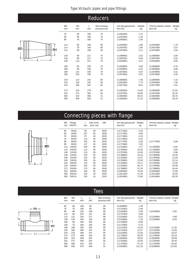| ØD | Ød |  |
|----|----|--|

|          |          |         | <b>Reducers</b>             |                               |              |                                  |              |
|----------|----------|---------|-----------------------------|-------------------------------|--------------|----------------------------------|--------------|
| ØD<br>mm | Ød<br>mm | L<br>mm | Max working<br>pressure bar | Hot-dip galvanized<br>Item No | Weight<br>kg | Thermo-plastic coated<br>Item No | Weight<br>kg |
| 76       | 60       | 180     | 70                          | 111852801                     | 1,12         |                                  |              |
| 89       | 60       | 180     | 70                          | 112042801                     | 1,33         |                                  |              |
| 89       | 76       | 180     | 70                          | 111860801                     | 1,56         |                                  |              |
| 114      | 60       | 190     | 60                          | 112044801                     | 1,88         | 112044806                        | 1.79         |
| 114      | 76       | 190     | 60                          | 112047801                     | 1,96         | 112047806                        | 1,87         |
| 114      | 89       | 190     | 60                          | 111870801                     | 2,12         | 111870806                        | 1,94         |
| 139      | 60       | 217     | 70                          | 111896801                     | 2,82         | 111896806                        | 2,69         |
| 139      | 89       | 217     | 70                          | 111897801                     | 3,08         | 111897806                        | 2,92         |
| 139      | 114      | 217     | 70                          | 112048801                     | 3,21         | 112048806                        | 3,05         |
| 168      | 60       | 230     | 70                          | 111858801                     | 3,95         | 111858806                        | 3,76         |
| 168      | 89       | 230     | 70                          | 111859801                     | 4,20         | 111859806                        | 3,99         |
| 168      | 114      | 230     | 70                          | 111876801                     | 4,54         | 111876806                        | 4,31         |
| 168      | 139      | 230     | 70                          | 111875801                     | 4,52         | 111875806                        | 4,28         |
| 219      | 114      | 242     | 60                          | 111890801                     | 7,48         | 111890806                        | 7,10         |
| 219      | 139      | 242     | 60                          | 112054801                     | 7,73         | 112054806                        | 7,35         |
| 219      | 168      | 242     | 60                          | 111877801                     | 8,01         | 111877806                        | 7,61         |
| 273      | 219      | 278     | 60                          | 111882801                     | 12,65        | 111882806                        | 12,02        |
| 323      | 273      | 303     | 55                          | 111207801                     | 33,85        | 111207806                        | 32,16        |
| 406      | 323      | 465     | 21                          | 111883801                     | 48,15        | 111883806                        | 45,74        |
| 508      | 406      | 628     | 21                          | 111884801                     | 37,10        | 111884806                        | 35,25        |
|          |          |         |                             |                               |              |                                  |              |

# Connecting pieces with flange



| ØD<br>mm | Flange<br>DN/PN | L<br>mm | Max work.<br>pres. bar | <b>DIN</b> | Hot-dip galvanized<br>Item No | Weight<br>kg | Thermo-plastic coated Weight<br>Item No | kg    |
|----------|-----------------|---------|------------------------|------------|-------------------------------|--------------|-----------------------------------------|-------|
| 60       | 50/40           | 93      | 40                     | 2635       | 111771801                     | 2,25         |                                         |       |
| 60       | 50/64           | 107     | 64                     | 2636       | 111772801                     | 3,85         |                                         |       |
| 76       | 65/40           | 97      | 40                     | 2635       | 111774801                     | 4,10         |                                         |       |
| 76       | 65/64           | 113     | 64                     | 2636       | 111775801                     | 6,10         |                                         |       |
| 89       | 80/40           | 103     | 40                     | 2635       | 111777801                     | 5,36         | 111777806                               | 5,09  |
| 89       | 80/64           | 117     | 64                     | 2636       | 111776801                     | 7,82         |                                         |       |
| 114      | 100/40          | 109     | 40                     | 2635       | 111782801                     | 7,17         | 111782806                               | 6,82  |
| 114      | 100/64          | 114     | 64                     | 2636       | 111783801                     | 10,35        | 111783806                               | 9,83  |
| 139      | 125/40          | 113     | 40                     | 2635       | 111787801                     | 10,49        | 111787806                               | 9,96  |
| 139      | 125/64          | 133     | 64                     | 2636       | 111788801                     | 16,10        | 111788806                               | 15,30 |
| 168      | 150/40          | 120     | 40                     | 2635       | 111765801                     | 12,57        | 111765806                               | 11,94 |
| 168      | 150/64          | 140     | 64                     | 2636       | 111766801                     | 23,30        | 111766806                               | 22,14 |
| 219      | 200/40          | 133     | 40                     | 2635       | 111792801                     | 22,11        | 111792806                               | 21,00 |
| 219      | 200/64          | 155     | 64                     | 2636       | 111793801                     | 36,74        | 111793806                               | 34,90 |
| 273      | 250/64          | 175     | 64                     | 2636       | 111798801                     | 57,30        | 111798806                               | 54,44 |
| 323      | 300/64          | 190     | 64                     | 2636       | 111805801                     | 76,40        | 111805806                               | 72,58 |
| 406      | 400/16          | 145     | 16                     | 2033       | 111811801                     | 47,40        | 111811806                               | 45,03 |
| 508      | 500/16          | 150     | 16                     | 2033       | 111814801                     | 72,90        | 111814806                               | 69,26 |
|          |                 |         |                        |            |                               |              |                                         |       |

#### Toos



|          |          |     |                      | כסאו                        |                               |              |                                         |        |
|----------|----------|-----|----------------------|-----------------------------|-------------------------------|--------------|-----------------------------------------|--------|
| ØD<br>mm | Ød<br>mm | mm  | L <sub>2</sub><br>mm | Max working<br>pressure bar | Hot-dip galvanized<br>Item No | Weight<br>kg | Thermo-plastic coated Weight<br>Item No | kg     |
| 60       | 60       | 166 | 83                   | 69                          | 111698801                     | 1,30         |                                         |        |
| 76       | 76       | 190 | 95                   | 69                          | 111701801                     | 2,48         |                                         |        |
| 89       | 89       | 216 | 108                  | 69                          | 112100801                     | 3,00         | 112100806                               | 2,85   |
| 114      | 60       | 254 | 127                  | 69                          | 111737801                     | 2,88         |                                         |        |
| 114      | 114      | 254 | 127                  | 69                          | 112105801                     | 5,24         | 112105806                               | 4,98   |
| 139      | 139      | 280 | 140                  | 69                          | 112109801                     | 7,19         | 112109806                               | 6,83   |
| 168      | 60       | 330 | 165                  | 69                          | 111736801                     | 9,80         |                                         |        |
| 168      | 76       | 330 | 165                  | 69                          | 111720801                     | 9,70         |                                         |        |
| 168      | 168      | 330 | 165                  | 69                          | 112115801                     | 12,05        | 112115806                               | 11,45  |
| 219      | 168      | 394 | 197                  | 55                          | 111731801                     | 12,27        | 111731806                               | 11,66  |
| 219      | 219      | 394 | 197                  | 55                          | 112120801                     | 21,60        | 112120806                               | 20,52  |
| 273      | 273      | 458 | 229                  | 55                          | 111735801                     | 26,50        | 111735806                               | 25,18  |
| 323      | 323      | 508 | 254                  | 55                          | 111905801                     | 38,50        | 111905806                               | 36,58  |
| 323      | 273      | 508 | 254                  | 55                          | 111762801                     | 32,00        | 111762806                               | 30,40  |
| 406      | 406      | 610 | 305                  | 21                          | 111725801                     | 67,20        | 111725806                               | 63,84  |
| 508      | 508      | 876 | 438                  | 21                          | 111500801                     | 121,10       | 111500806                               | 115,05 |
|          |          |     |                      |                             |                               |              |                                         |        |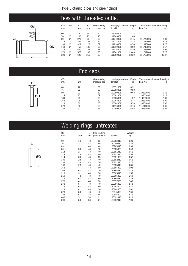## Tees with threaded outlet



| ØD<br><sub>mm</sub> | Ød | mm  | ∟,<br>mm | Max working<br>pressure bar | Hot-dip galvanized Weight<br>Item No | kg    | Thermo-plastic coated Weight<br>Item No | kg    |
|---------------------|----|-----|----------|-----------------------------|--------------------------------------|-------|-----------------------------------------|-------|
| 60                  | 2" | 250 | 95       | 50                          | 111746801                            | 1.34  |                                         |       |
| 76                  | 2" | 266 | 93       | 46                          | 111749801                            | 2.00  |                                         |       |
| 89                  | 2" | 279 | 93       | 60                          | 111740801                            | 2,45  | 111740806                               | 2,33  |
| 114                 | 2" | 304 | 108      | 49                          | 111717801                            | 3.28  | 111717806                               | 3,12  |
| 139                 | 2" | 329 | 123      | 52                          | 111918801                            | 4.50  | 111918806                               | 4,27  |
| 168                 | 2" | 458 | 138      | 50                          | 111719801                            | 8.60  | 111719806                               | 8.17  |
| 219                 | 2" | 509 | 165      | 48                          | 111916801                            | 15.70 | 111916806                               | 14,92 |
| 273                 | 2" | 573 | 193      | 38                          | 111742801                            | 23.43 | 111742806                               | 22,26 |
| 323                 | 2" | 623 | 219      | 36                          | 111760801                            | 38.39 | 111760806                               | 36,47 |
|                     |    |     |          |                             |                                      |       |                                         |       |
|                     |    |     |          |                             |                                      |       |                                         |       |

# End caps

|    | ØD<br>mm | <sub>mm</sub> | Max working<br>pressure bar | Hot-dip galvanized Weight<br>Item No | kg    | Thermo-plastic coated Weight<br>Item No | kg    |
|----|----------|---------------|-----------------------------|--------------------------------------|-------|-----------------------------------------|-------|
|    | 60       | 22            | 69                          | 110351801                            | 0,31  |                                         |       |
|    | 76       | 22            | 69                          | 110353801                            | 0,53  |                                         |       |
|    | 89       | 22            | 69                          | 110380801                            | 0,63  | 110380806                               | 0,62  |
| ØD | 114      | 25            | 69                          | 110381801                            | 1.11  | 110381806                               | 1,12  |
|    | 139      | 25            | 69                          | 110385801                            | 1,97  | 110385806                               | 2,01  |
|    | 168      | 25            | 69                          | 110383801                            | 2.74  | 110383806                               | 2,90  |
|    | 219      | 30            | 55                          | 110384801                            | 5,78  | 110384806                               | 5,90  |
|    | 273      | 32            | 55                          | 111816801                            | 9,76  | 111816806                               | 9,95  |
|    | 323      | 32            | 55                          | 110369801                            | 16,03 | 110369806                               | 16,35 |
|    |          |               |                             |                                      |       |                                         |       |

# Welding rings, untreated



| ØD<br>mm | t<br>mm        | L<br>mm | Max working<br>pressure bar | Item No   | Weight<br>kg |  |
|----------|----------------|---------|-----------------------------|-----------|--------------|--|
| 60       | 1,8            | 43      | 83                          | 120983810 | 0,20         |  |
| 76       | 2              | 43      | 60                          | 120280810 | 0,29         |  |
| 89       | $\overline{2}$ | 43      | 40                          | 120985810 | 0,39         |  |
| 89       | 3,2            | 43      | 70                          | 120985820 | 0,43         |  |
| 114      | $\overline{2}$ | 43      | 40                          | 120851810 | 0,51         |  |
| 114      | 2,9            | 43      | 60                          | 120851820 | 0,53         |  |
| 114      | 3,6            | 43      | 85                          | 120851830 | 0,57         |  |
| 139      | 2,5            | 43      | 40                          | 120852810 | 0,66         |  |
| 139      | 3,6            | 43      | 70                          | 120852820 | 0,72         |  |
| 168      | 2,5            | 43      | 40                          | 120855810 | 0,85         |  |
| 168      | 4              | 43      | 60                          | 120855820 | 0,98         |  |
| 168      | 6.3            | 43      | 70                          | 120855830 | 1,12         |  |
| 219      | 3              | 43      | 30                          | 120865810 | 1,55         |  |
| 219      | 4,5            | 43      | 40                          | 120865820 | 1,69         |  |
| 219      | 6,3            | 43      | 60                          | 120865830 | 1,86         |  |
| 273      | 4              | 48      | 30                          | 120357800 | 2,40         |  |
| 273      | 5              | 48      | 40                          | 120356800 | 2,43         |  |
| 273      | 6,3            | 48      | 60                          | 120358800 | 2,47         |  |
| 323      | 4              | 48      | 30                          | 120844800 | 2,61         |  |
| 323      | 5,6            | 48      | 40                          | 120845800 | 2,66         |  |
| 323      | 6.3            | 48      | 55                          | 120846800 | 2,79         |  |
| 406      | 5              | 58      | 21                          | 120391810 | 4,18         |  |
| 508      | 5,6            | 58      | 21                          | 120392810 | 7,00         |  |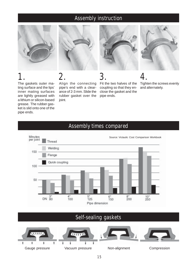## Assembly instruction



The gaskets outer mating surface and the lips' inner mating surfaces are lightly greased with a lithium or silicon-based grease. The rubber gasket is slid onto one of the

pipe ends.



Align the connecting pipe's end with a clearance of 2-3 mm. Slide the rubber gasket over the

joint.



1. 2. 3. 4. Fit the two halves of the coupling so that they enclose the gasket and the pipe ends.

Tighten the screws evenly and alternately.



## Assembly times compared

## Self-sealing gaskets